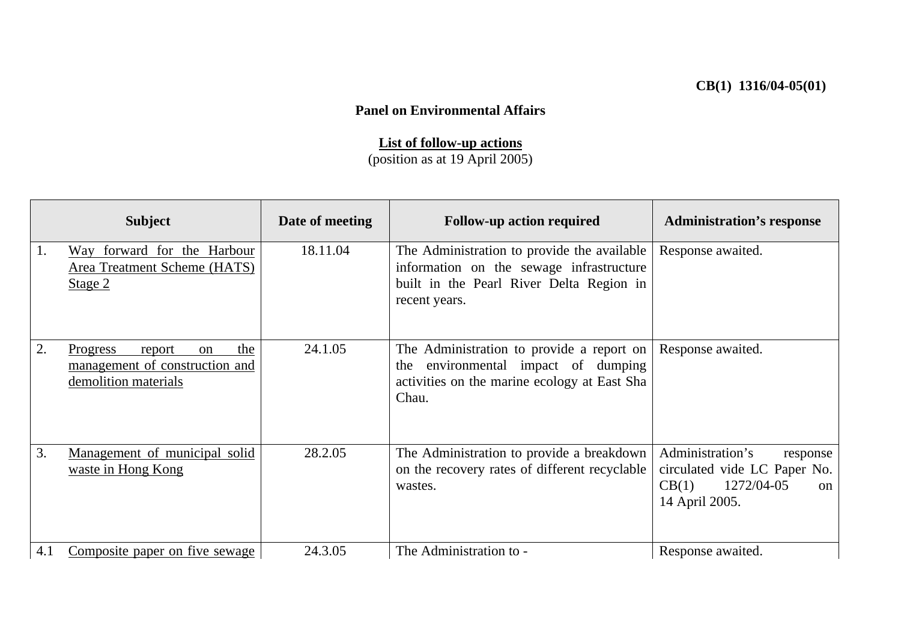## **CB(1) 1316/04-05(01)**

## **Panel on Environmental Affairs**

## **List of follow-up actions**

(position as at 19 April 2005)

|     | <b>Subject</b>                                                                                       | Date of meeting | <b>Follow-up action required</b>                                                                                                                     | <b>Administration's response</b>                                                                                  |
|-----|------------------------------------------------------------------------------------------------------|-----------------|------------------------------------------------------------------------------------------------------------------------------------------------------|-------------------------------------------------------------------------------------------------------------------|
| 1.  | Way forward for the Harbour<br>Area Treatment Scheme (HATS)<br>Stage 2                               | 18.11.04        | The Administration to provide the available<br>information on the sewage infrastructure<br>built in the Pearl River Delta Region in<br>recent years. | Response awaited.                                                                                                 |
| 2.  | the<br>Progress<br>report<br><sub>on</sub><br>management of construction and<br>demolition materials | 24.1.05         | The Administration to provide a report on<br>environmental impact of dumping<br>the<br>activities on the marine ecology at East Sha<br>Chau.         | Response awaited.                                                                                                 |
| 3.  | Management of municipal solid<br>waste in Hong Kong                                                  | 28.2.05         | The Administration to provide a breakdown<br>on the recovery rates of different recyclable<br>wastes.                                                | Administration's<br>response<br>circulated vide LC Paper No.<br>1272/04-05<br>CB(1)<br>$\alpha$<br>14 April 2005. |
| 4.1 | Composite paper on five sewage                                                                       | 24.3.05         | The Administration to -                                                                                                                              | Response awaited.                                                                                                 |